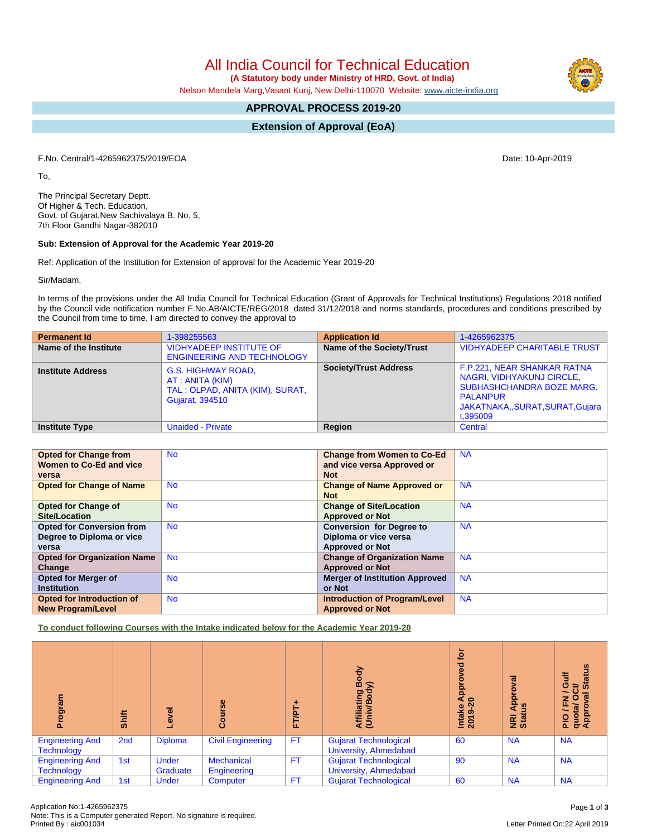All India Council for Technical Education

 **(A Statutory body under Ministry of HRD, Govt. of India)**

Nelson Mandela Marg,Vasant Kunj, New Delhi-110070 Website: [www.aicte-india.org](http://www.aicte-india.org)

# **APPROVAL PROCESS 2019-20**

**Extension of Approval (EoA)**

F.No. Central/1-4265962375/2019/EOA Date: 10-Apr-2019

To,

The Principal Secretary Deptt. Of Higher & Tech. Education, Govt. of Gujarat,New Sachivalaya B. No. 5, 7th Floor Gandhi Nagar-382010

## **Sub: Extension of Approval for the Academic Year 2019-20**

Ref: Application of the Institution for Extension of approval for the Academic Year 2019-20

Sir/Madam,

In terms of the provisions under the All India Council for Technical Education (Grant of Approvals for Technical Institutions) Regulations 2018 notified by the Council vide notification number F.No.AB/AICTE/REG/2018 dated 31/12/2018 and norms standards, procedures and conditions prescribed by the Council from time to time, I am directed to convey the approval to

| <b>Permanent Id</b>      | 1-398255563                                                                                                | <b>Application Id</b>        | 1-4265962375                                                                                                                                                 |
|--------------------------|------------------------------------------------------------------------------------------------------------|------------------------------|--------------------------------------------------------------------------------------------------------------------------------------------------------------|
| Name of the Institute    | <b>VIDHYADEEP INSTITUTE OF</b><br><b>ENGINEERING AND TECHNOLOGY</b>                                        | Name of the Society/Trust    | VIDHYADEEP CHARITABLE TRUST                                                                                                                                  |
| <b>Institute Address</b> | <b>G.S. HIGHWAY ROAD,</b><br>AT : ANITA (KIM)<br>TAL: OLPAD, ANITA (KIM), SURAT,<br><b>Gujarat, 394510</b> | <b>Society/Trust Address</b> | F.P.221, NEAR SHANKAR RATNA<br>NAGRI, VIDHYAKUNJ CIRCLE,<br><b>SUBHASHCHANDRA BOZE MARG,</b><br><b>PALANPUR</b><br>JAKATNAKA,,SURAT,SURAT,Gujara<br>t,395009 |
| <b>Institute Type</b>    | <b>Unaided - Private</b>                                                                                   | Region                       | Central                                                                                                                                                      |

| <b>Opted for Change from</b>       | <b>No</b> | <b>Change from Women to Co-Ed</b>     | <b>NA</b> |
|------------------------------------|-----------|---------------------------------------|-----------|
| Women to Co-Ed and vice            |           | and vice versa Approved or            |           |
| versa                              |           | <b>Not</b>                            |           |
| <b>Opted for Change of Name</b>    | <b>No</b> | <b>Change of Name Approved or</b>     | <b>NA</b> |
|                                    |           | <b>Not</b>                            |           |
| <b>Opted for Change of</b>         | <b>No</b> | <b>Change of Site/Location</b>        | <b>NA</b> |
| Site/Location                      |           | <b>Approved or Not</b>                |           |
| <b>Opted for Conversion from</b>   | No.       | <b>Conversion for Degree to</b>       | <b>NA</b> |
| Degree to Diploma or vice          |           | Diploma or vice versa                 |           |
| versa                              |           | <b>Approved or Not</b>                |           |
| <b>Opted for Organization Name</b> | <b>No</b> | <b>Change of Organization Name</b>    | <b>NA</b> |
| Change                             |           | <b>Approved or Not</b>                |           |
| <b>Opted for Merger of</b>         | <b>No</b> | <b>Merger of Institution Approved</b> | <b>NA</b> |
| <b>Institution</b>                 |           | or Not                                |           |
| Opted for Introduction of          | <b>No</b> | <b>Introduction of Program/Level</b>  | <b>NA</b> |
| <b>New Program/Level</b>           |           | <b>Approved or Not</b>                |           |

**To conduct following Courses with the Intake indicated below for the Academic Year 2019-20**

| <u>ram</u><br>하<br>۵.                       | Shift           | g<br>ø                   | rse<br><b>Cour</b>               | FT/PT.    | Body<br>Affiliating<br>(Univ/Body                            | tor<br>ढ़<br>윤<br>₹<br>$\overline{20}$<br>Intake<br>2019- | हु<br>ႎ<br>Appl<br><b>E</b> at | tatus<br>O<br>≃<br>Ŵ<br>ത<br>O<br>z<br>ш.<br>quota/<br>Approv<br><b>DIG</b> |
|---------------------------------------------|-----------------|--------------------------|----------------------------------|-----------|--------------------------------------------------------------|-----------------------------------------------------------|--------------------------------|-----------------------------------------------------------------------------|
| <b>Engineering And</b><br><b>Technology</b> | 2 <sub>nd</sub> | <b>Diploma</b>           | <b>Civil Engineering</b>         | <b>FT</b> | <b>Gujarat Technological</b><br>University, Ahmedabad        | 60                                                        | <b>NA</b>                      | <b>NA</b>                                                                   |
| <b>Engineering And</b><br><b>Technology</b> | 1st             | <b>Under</b><br>Graduate | <b>Mechanical</b><br>Engineering | <b>FT</b> | <b>Gujarat Technological</b><br><b>University, Ahmedabad</b> | 90                                                        | <b>NA</b>                      | <b>NA</b>                                                                   |
| <b>Engineering And</b>                      | 1st             | <b>Under</b>             | Computer                         | <b>FT</b> | <b>Gujarat Technological</b>                                 | 60                                                        | <b>NA</b>                      | <b>NA</b>                                                                   |

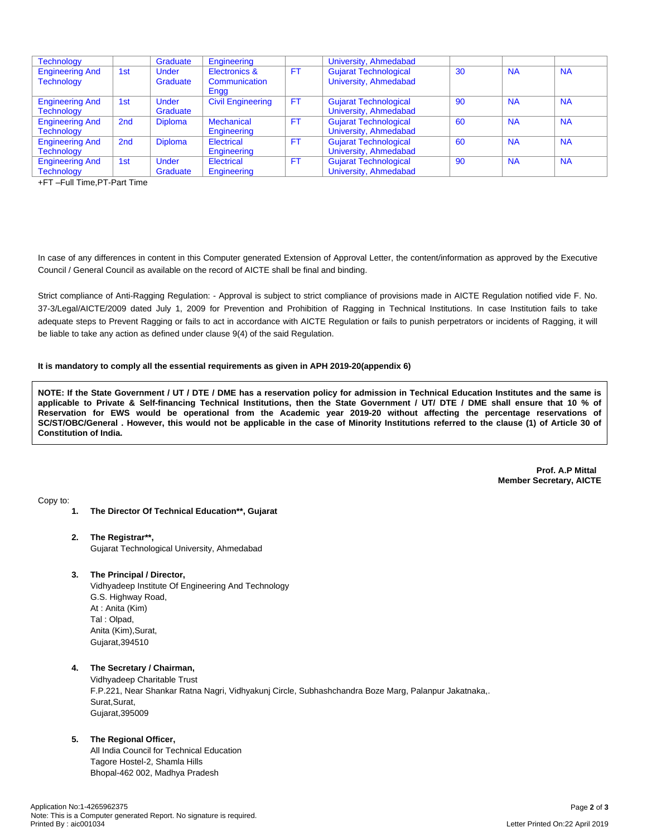| <b>Technology</b>                           |                 | Graduate                 | Engineering                    |           | University, Ahmedabad                                 |    |           |           |
|---------------------------------------------|-----------------|--------------------------|--------------------------------|-----------|-------------------------------------------------------|----|-----------|-----------|
| <b>Engineering And</b><br><b>Technology</b> | 1st             | <b>Under</b><br>Graduate | Electronics &<br>Communication | <b>FT</b> | <b>Gujarat Technological</b><br>University, Ahmedabad | 30 | <b>NA</b> | <b>NA</b> |
|                                             |                 |                          | Engg                           |           |                                                       |    |           |           |
| <b>Engineering And</b>                      | 1st             | <b>Under</b>             | <b>Civil Engineering</b>       | <b>FT</b> | <b>Gujarat Technological</b>                          | 90 | <b>NA</b> | <b>NA</b> |
| <b>Technology</b>                           |                 | Graduate                 |                                |           | University, Ahmedabad                                 |    |           |           |
| <b>Engineering And</b>                      | 2 <sub>nd</sub> | <b>Diploma</b>           | <b>Mechanical</b>              | <b>FT</b> | <b>Gujarat Technological</b>                          | 60 | <b>NA</b> | <b>NA</b> |
| <b>Technology</b>                           |                 |                          | Engineering                    |           | University, Ahmedabad                                 |    |           |           |
| <b>Engineering And</b>                      | 2 <sub>nd</sub> | <b>Diploma</b>           | Electrical                     | FT.       | <b>Gujarat Technological</b>                          | 60 | <b>NA</b> | <b>NA</b> |
| <b>Technology</b>                           |                 |                          | Engineering                    |           | University, Ahmedabad                                 |    |           |           |
| <b>Engineering And</b>                      | 1st             | <b>Under</b>             | Electrical                     | <b>FT</b> | <b>Gujarat Technological</b>                          | 90 | <b>NA</b> | <b>NA</b> |
| <b>Technology</b>                           |                 | Graduate                 | Engineering                    |           | University, Ahmedabad                                 |    |           |           |

+FT –Full Time,PT-Part Time

In case of any differences in content in this Computer generated Extension of Approval Letter, the content/information as approved by the Executive Council / General Council as available on the record of AICTE shall be final and binding.

Strict compliance of Anti-Ragging Regulation: - Approval is subject to strict compliance of provisions made in AICTE Regulation notified vide F. No. 37-3/Legal/AICTE/2009 dated July 1, 2009 for Prevention and Prohibition of Ragging in Technical Institutions. In case Institution fails to take adequate steps to Prevent Ragging or fails to act in accordance with AICTE Regulation or fails to punish perpetrators or incidents of Ragging, it will be liable to take any action as defined under clause 9(4) of the said Regulation.

### **It is mandatory to comply all the essential requirements as given in APH 2019-20(appendix 6)**

NOTE: If the State Government / UT / DTE / DME has a reservation policy for admission in Technical Education Institutes and the same is applicable to Private & Self-financing Technical Institutions, then the State Government / UT/ DTE / DME shall ensure that 10 % of Reservation for EWS would be operational from the Academic year 2019-20 without affecting the percentage reservations of SC/ST/OBC/General . However, this would not be applicable in the case of Minority Institutions referred to the clause (1) of Article 30 of **Constitution of India.**

> **Prof. A.P Mittal Member Secretary, AICTE**

Copy to:

- **1. The Director Of Technical Education\*\*, Gujarat**
- **2. The Registrar\*\*,** Gujarat Technological University, Ahmedabad
- **3. The Principal / Director,**

Vidhyadeep Institute Of Engineering And Technology G.S. Highway Road, At : Anita (Kim) Tal : Olpad, Anita (Kim),Surat, Gujarat,394510

#### **4. The Secretary / Chairman,**

Vidhyadeep Charitable Trust F.P.221, Near Shankar Ratna Nagri, Vidhyakunj Circle, Subhashchandra Boze Marg, Palanpur Jakatnaka,. Surat,Surat, Gujarat,395009

#### **5. The Regional Officer,**

All India Council for Technical Education Tagore Hostel-2, Shamla Hills Bhopal-462 002, Madhya Pradesh